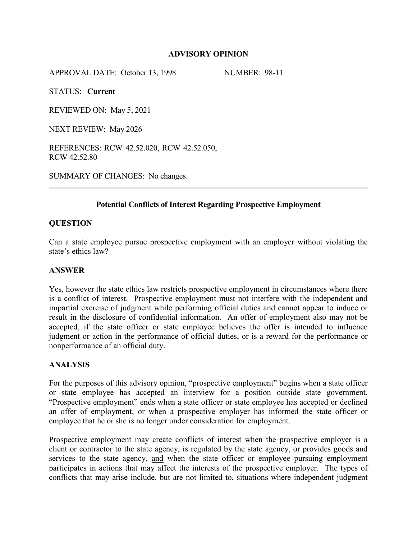## **ADVISORY OPINION**

APPROVAL DATE: October 13, 1998 NUMBER: 98-11

STATUS: **Current**

REVIEWED ON: May 5, 2021

NEXT REVIEW: May 2026

REFERENCES: RCW 42.52.020, RCW 42.52.050, RCW 42.52.80

SUMMARY OF CHANGES: No changes.

# **Potential Conflicts of Interest Regarding Prospective Employment**

## **QUESTION**

Can a state employee pursue prospective employment with an employer without violating the state's ethics law?

## **ANSWER**

Yes, however the state ethics law restricts prospective employment in circumstances where there is a conflict of interest. Prospective employment must not interfere with the independent and impartial exercise of judgment while performing official duties and cannot appear to induce or result in the disclosure of confidential information. An offer of employment also may not be accepted, if the state officer or state employee believes the offer is intended to influence judgment or action in the performance of official duties, or is a reward for the performance or nonperformance of an official duty.

#### **ANALYSIS**

For the purposes of this advisory opinion, "prospective employment" begins when a state officer or state employee has accepted an interview for a position outside state government. "Prospective employment" ends when a state officer or state employee has accepted or declined an offer of employment, or when a prospective employer has informed the state officer or employee that he or she is no longer under consideration for employment.

Prospective employment may create conflicts of interest when the prospective employer is a client or contractor to the state agency, is regulated by the state agency, or provides goods and services to the state agency, and when the state officer or employee pursuing employment participates in actions that may affect the interests of the prospective employer. The types of conflicts that may arise include, but are not limited to, situations where independent judgment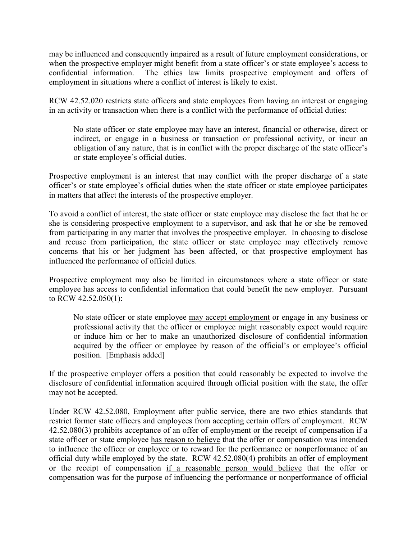may be influenced and consequently impaired as a result of future employment considerations, or when the prospective employer might benefit from a state officer's or state employee's access to confidential information. The ethics law limits prospective employment and offers of employment in situations where a conflict of interest is likely to exist.

RCW 42.52.020 restricts state officers and state employees from having an interest or engaging in an activity or transaction when there is a conflict with the performance of official duties:

No state officer or state employee may have an interest, financial or otherwise, direct or indirect, or engage in a business or transaction or professional activity, or incur an obligation of any nature, that is in conflict with the proper discharge of the state officer's or state employee's official duties.

Prospective employment is an interest that may conflict with the proper discharge of a state officer's or state employee's official duties when the state officer or state employee participates in matters that affect the interests of the prospective employer.

To avoid a conflict of interest, the state officer or state employee may disclose the fact that he or she is considering prospective employment to a supervisor, and ask that he or she be removed from participating in any matter that involves the prospective employer. In choosing to disclose and recuse from participation, the state officer or state employee may effectively remove concerns that his or her judgment has been affected, or that prospective employment has influenced the performance of official duties.

Prospective employment may also be limited in circumstances where a state officer or state employee has access to confidential information that could benefit the new employer. Pursuant to RCW 42.52.050(1):

No state officer or state employee may accept employment or engage in any business or professional activity that the officer or employee might reasonably expect would require or induce him or her to make an unauthorized disclosure of confidential information acquired by the officer or employee by reason of the official's or employee's official position. [Emphasis added]

If the prospective employer offers a position that could reasonably be expected to involve the disclosure of confidential information acquired through official position with the state, the offer may not be accepted.

Under RCW 42.52.080, Employment after public service, there are two ethics standards that restrict former state officers and employees from accepting certain offers of employment. RCW 42.52.080(3) prohibits acceptance of an offer of employment or the receipt of compensation if a state officer or state employee has reason to believe that the offer or compensation was intended to influence the officer or employee or to reward for the performance or nonperformance of an official duty while employed by the state. RCW 42.52.080(4) prohibits an offer of employment or the receipt of compensation if a reasonable person would believe that the offer or compensation was for the purpose of influencing the performance or nonperformance of official